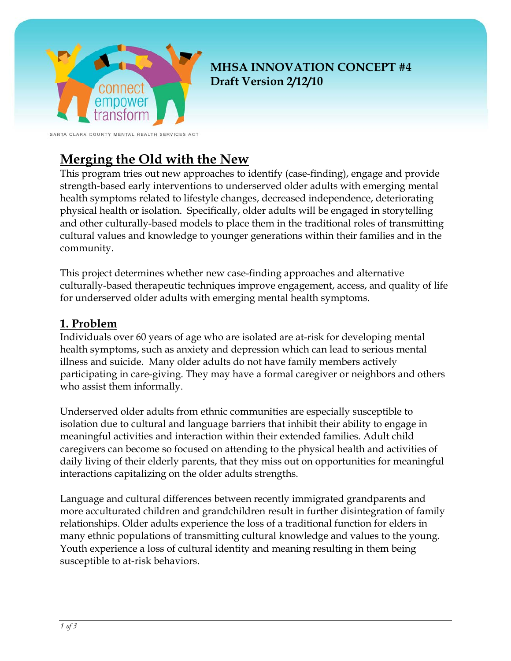

**MHSA INNOVATION CONCEPT #4 Draft Version 2/12/10**

SANTA CLARA COUNTY MENTAL HEALTH SERVICES ACT

# **Merging the Old with the New**

This program tries out new approaches to identify (case-finding), engage and provide strength-based early interventions to underserved older adults with emerging mental health symptoms related to lifestyle changes, decreased independence, deteriorating physical health or isolation. Specifically, older adults will be engaged in storytelling and other culturally-based models to place them in the traditional roles of transmitting cultural values and knowledge to younger generations within their families and in the community.

This project determines whether new case-finding approaches and alternative culturally-based therapeutic techniques improve engagement, access, and quality of life for underserved older adults with emerging mental health symptoms.

#### **1. Problem**

Individuals over 60 years of age who are isolated are at-risk for developing mental health symptoms, such as anxiety and depression which can lead to serious mental illness and suicide. Many older adults do not have family members actively participating in care-giving. They may have a formal caregiver or neighbors and others who assist them informally.

Underserved older adults from ethnic communities are especially susceptible to isolation due to cultural and language barriers that inhibit their ability to engage in meaningful activities and interaction within their extended families. Adult child caregivers can become so focused on attending to the physical health and activities of daily living of their elderly parents, that they miss out on opportunities for meaningful interactions capitalizing on the older adults strengths.

Language and cultural differences between recently immigrated grandparents and more acculturated children and grandchildren result in further disintegration of family relationships. Older adults experience the loss of a traditional function for elders in many ethnic populations of transmitting cultural knowledge and values to the young. Youth experience a loss of cultural identity and meaning resulting in them being susceptible to at-risk behaviors.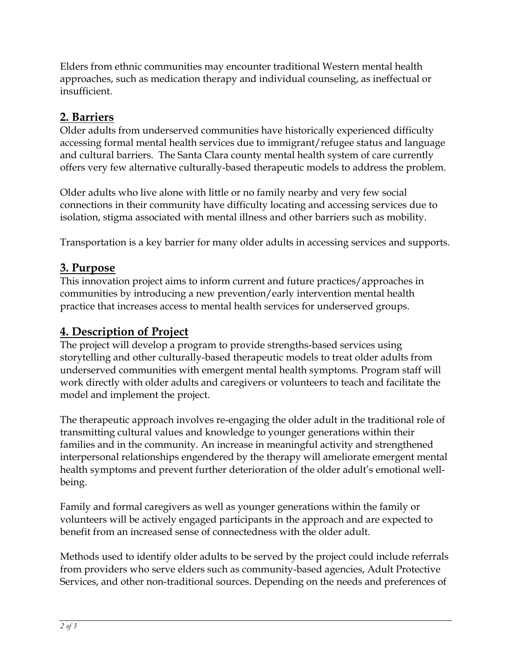Elders from ethnic communities may encounter traditional Western mental health approaches, such as medication therapy and individual counseling, as ineffectual or insufficient.

### **2. Barriers**

Older adults from underserved communities have historically experienced difficulty accessing formal mental health services due to immigrant/refugee status and language and cultural barriers. The Santa Clara county mental health system of care currently offers very few alternative culturally-based therapeutic models to address the problem.

Older adults who live alone with little or no family nearby and very few social connections in their community have difficulty locating and accessing services due to isolation, stigma associated with mental illness and other barriers such as mobility.

Transportation is a key barrier for many older adults in accessing services and supports.

#### **3. Purpose**

This innovation project aims to inform current and future practices/approaches in communities by introducing a new prevention/early intervention mental health practice that increases access to mental health services for underserved groups.

### **4. Description of Project**

The project will develop a program to provide strengths-based services using storytelling and other culturally-based therapeutic models to treat older adults from underserved communities with emergent mental health symptoms. Program staff will work directly with older adults and caregivers or volunteers to teach and facilitate the model and implement the project.

The therapeutic approach involves re-engaging the older adult in the traditional role of transmitting cultural values and knowledge to younger generations within their families and in the community. An increase in meaningful activity and strengthened interpersonal relationships engendered by the therapy will ameliorate emergent mental health symptoms and prevent further deterioration of the older adult's emotional wellbeing.

Family and formal caregivers as well as younger generations within the family or volunteers will be actively engaged participants in the approach and are expected to benefit from an increased sense of connectedness with the older adult.

Methods used to identify older adults to be served by the project could include referrals from providers who serve elders such as community-based agencies, Adult Protective Services, and other non-traditional sources. Depending on the needs and preferences of